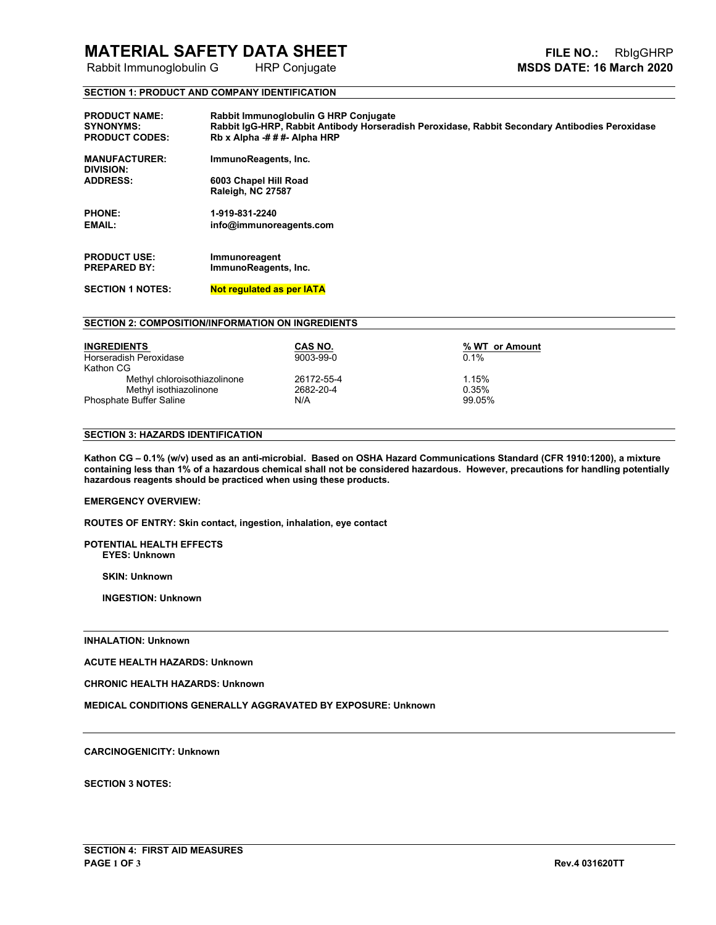# **MATERIAL SAFETY DATA SHEET**<br>
Rabbit Immunoglobulin G HRP Conjugate<br> **FILE NO.:** RbIgGHRP Rabbit Immunoglobulin G HRP Conjugate

**Rabbit Immunoglobulin G** 

#### **SECTION 1: PRODUCT AND COMPANY IDENTIFICATION**

| <b>PRODUCT NAME:</b><br><b>SYNONYMS:</b><br><b>PRODUCT CODES:</b> | Rabbit Immunoglobulin G HRP Conjugate<br>Rabbit IgG-HRP, Rabbit Antibody Horseradish Peroxidase, Rabbit Secondary Antibodies Peroxidase<br>Rb x Alpha $-# # +$ Alpha HRP |
|-------------------------------------------------------------------|--------------------------------------------------------------------------------------------------------------------------------------------------------------------------|
| <b>MANUFACTURER:</b><br>DIVISION:                                 | ImmunoReagents, Inc.                                                                                                                                                     |
| <b>ADDRESS:</b>                                                   | 6003 Chapel Hill Road                                                                                                                                                    |
|                                                                   | Raleigh, NC 27587                                                                                                                                                        |
| <b>PHONE:</b>                                                     | 1-919-831-2240                                                                                                                                                           |
| <b>EMAIL:</b>                                                     | info@immunoreagents.com                                                                                                                                                  |
|                                                                   |                                                                                                                                                                          |
| <b>PRODUCT USE:</b>                                               | Immunoreagent                                                                                                                                                            |
| <b>PREPARED BY:</b>                                               | ImmunoReagents, Inc.                                                                                                                                                     |
| <b>SECTION 1 NOTES:</b>                                           | <b>Not regulated as per IATA</b>                                                                                                                                         |

#### **SECTION 2: COMPOSITION/INFORMATION ON INGREDIENTS**

| <b>INGREDIENTS</b>           | CAS NO.    | % WT or Amount |
|------------------------------|------------|----------------|
| Horseradish Peroxidase       | 9003-99-0  | 0.1%           |
| Kathon CG                    |            |                |
| Methyl chloroisothiazolinone | 26172-55-4 | 1.15%          |
| Methyl isothiazolinone       | 2682-20-4  | 0.35%          |
| Phosphate Buffer Saline      | N/A        | 99.05%         |

#### **SECTION 3: HAZARDS IDENTIFICATION**

**Kathon CG – 0.1% (w/v) used as an anti-microbial. Based on OSHA Hazard Communications Standard (CFR 1910:1200), a mixture containing less than 1% of a hazardous chemical shall not be considered hazardous. However, precautions for handling potentially hazardous reagents should be practiced when using these products.**

#### **EMERGENCY OVERVIEW:**

**ROUTES OF ENTRY: Skin contact, ingestion, inhalation, eye contact**

#### **POTENTIAL HEALTH EFFECTS EYES: Unknown**

 **SKIN: Unknown**

 **INGESTION: Unknown**

#### **INHALATION: Unknown**

**ACUTE HEALTH HAZARDS: Unknown**

**CHRONIC HEALTH HAZARDS: Unknown**

**MEDICAL CONDITIONS GENERALLY AGGRAVATED BY EXPOSURE: Unknown**

#### **CARCINOGENICITY: Unknown**

**SECTION 3 NOTES:**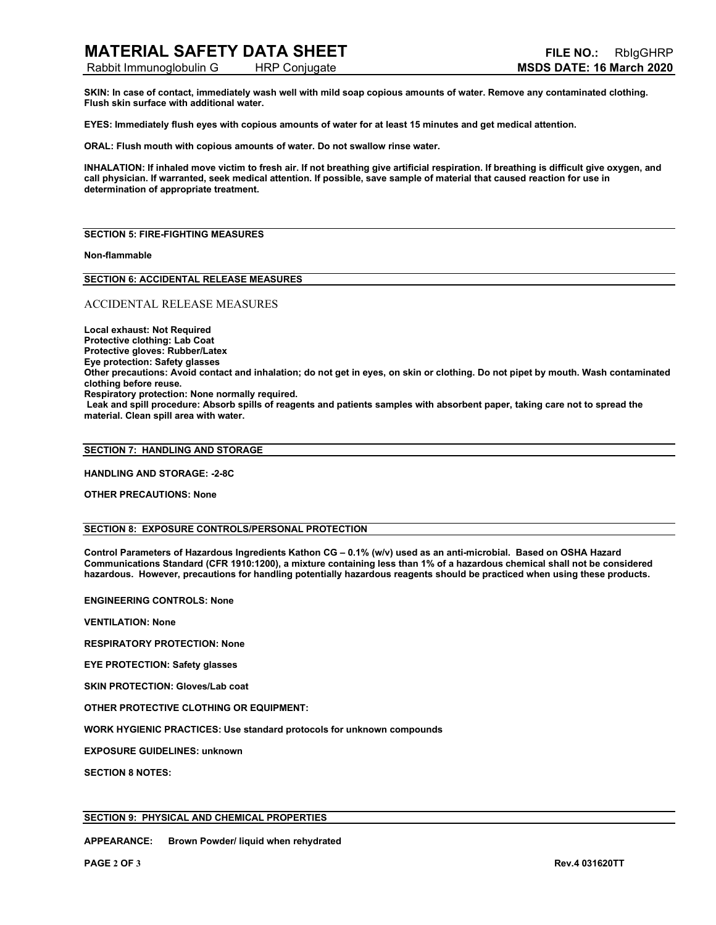Rabbit Immunoglobulin G HRP Conjugate **MSDS DATE: 16 March 2020**

**SKIN: In case of contact, immediately wash well with mild soap copious amounts of water. Remove any contaminated clothing. Flush skin surface with additional water.** 

**EYES: Immediately flush eyes with copious amounts of water for at least 15 minutes and get medical attention.** 

**ORAL: Flush mouth with copious amounts of water. Do not swallow rinse water.** 

**INHALATION: If inhaled move victim to fresh air. If not breathing give artificial respiration. If breathing is difficult give oxygen, and call physician. If warranted, seek medical attention. If possible, save sample of material that caused reaction for use in determination of appropriate treatment.**

#### **SECTION 5: FIRE-FIGHTING MEASURES**

#### **Non-flammable**

**SECTION 6: ACCIDENTAL RELEASE MEASURES**

#### ACCIDENTAL RELEASE MEASURES

**Local exhaust: Not Required Protective clothing: Lab Coat Protective gloves: Rubber/Latex Eye protection: Safety glasses Other precautions: Avoid contact and inhalation; do not get in eyes, on skin or clothing. Do not pipet by mouth. Wash contaminated clothing before reuse. Respiratory protection: None normally required. Leak and spill procedure: Absorb spills of reagents and patients samples with absorbent paper, taking care not to spread the material. Clean spill area with water.** 

#### **SECTION 7: HANDLING AND STORAGE**

**HANDLING AND STORAGE: -2-8C**

**OTHER PRECAUTIONS: None**

#### **SECTION 8: EXPOSURE CONTROLS/PERSONAL PROTECTION**

**Control Parameters of Hazardous Ingredients Kathon CG – 0.1% (w/v) used as an anti-microbial. Based on OSHA Hazard Communications Standard (CFR 1910:1200), a mixture containing less than 1% of a hazardous chemical shall not be considered hazardous. However, precautions for handling potentially hazardous reagents should be practiced when using these products.**

**ENGINEERING CONTROLS: None**

**VENTILATION: None**

**RESPIRATORY PROTECTION: None**

**EYE PROTECTION: Safety glasses**

**SKIN PROTECTION: Gloves/Lab coat**

**OTHER PROTECTIVE CLOTHING OR EQUIPMENT:**

**WORK HYGIENIC PRACTICES: Use standard protocols for unknown compounds**

**EXPOSURE GUIDELINES: unknown**

**SECTION 8 NOTES:**

#### **SECTION 9: PHYSICAL AND CHEMICAL PROPERTIES**

**APPEARANCE: Brown Powder/ liquid when rehydrated**